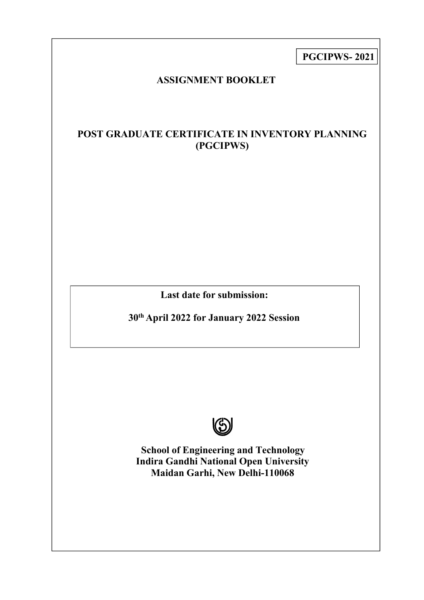**PGCIPWS- 2021**

# **ASSIGNMENT BOOKLET**

# **POST GRADUATE CERTIFICATE IN INVENTORY PLANNING (PGCIPWS)**

**Last date for submission:**

**30 th April 2022 for January 2022 Session**



**School of Engineering and Technology Indira Gandhi National Open University Maidan Garhi, New Delhi-110068**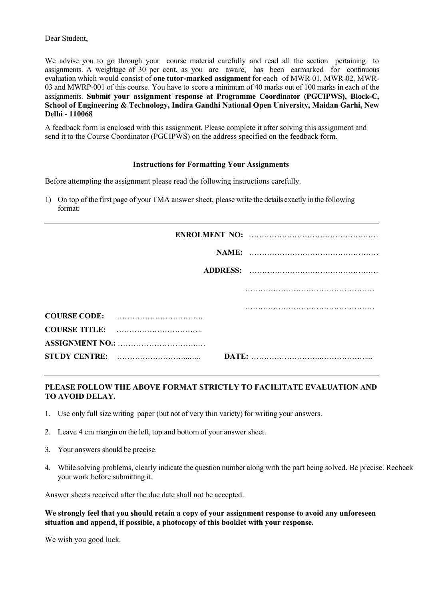Dear Student,

We advise you to go through your course material carefully and read all the section pertaining to assignments. A weightage of 30 per cent, as you are aware, has been earmarked for continuous evaluation which would consist of **one tutor-marked assignment** for each of MWR-01, MWR-02, MWR- 03 and MWRP-001 of this course. You have to score a minimum of 40 marks out of 100 marks in each of the assignments. **Submit your assignment response at Programme Coordinator (PGCIPWS), Block-C, School of Engineering & Technology, Indira Gandhi National Open University, Maidan Garhi, New Delhi - 110068**

A feedback form is enclosed with this assignment. Please complete it after solving this assignment and send it to the Course Coordinator (PGCIPWS) on the address specified on the feedback form.

#### **Instructions for Formatting Your Assignments**

Before attempting the assignment please read the following instructions carefully.

1) On top of the first page of your TMA answer sheet, please write the details exactly inthe following format:

| COURSE CODE: |  |
|--------------|--|
|              |  |
|              |  |
| <b>DATE:</b> |  |
|              |  |

### **PLEASE FOLLOW THE ABOVE FORMAT STRICTLY TO FACILITATE EVALUATION AND TO AVOID DELAY.**

- 1. Use only full size writing paper (but not of very thin variety) for writing your answers.
- 2. Leave 4 cm margin on the left, top and bottom of your answer sheet.
- 3. Your answers should be precise.
- 4. While solving problems, clearly indicate the question numberalong with the part being solved. Be precise. Recheck your work before submitting it.

Answer sheets received after the due date shall not be accepted.

**We strongly feel that you should retain a copy of your assignment response to avoid any unforeseen situation and append, if possible, a photocopy of this booklet with your response.**

We wish you good luck.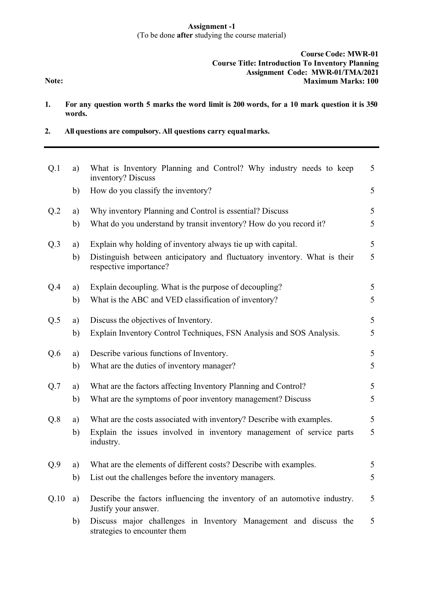# **Assignment -1** (To be done **after** studying the course material)

### **Course Code: MWR-01 Course Title: Introduction To Inventory Planning Assignment Code: MWR-01/TMA/2021 Maximum Marks: 100**

**Note:**

- 1. For any question worth 5 marks the word limit is 200 words, for a 10 mark question it is 350 **words.**
- **2. All questions are compulsory. All questions carry equalmarks.**

| Q.1  | a) | What is Inventory Planning and Control? Why industry needs to keep<br>inventory? Discuss            | 5 |
|------|----|-----------------------------------------------------------------------------------------------------|---|
|      | b) | How do you classify the inventory?                                                                  | 5 |
| Q.2  | a) | Why inventory Planning and Control is essential? Discuss                                            | 5 |
|      | b) | What do you understand by transit inventory? How do you record it?                                  | 5 |
| Q.3  | a) | Explain why holding of inventory always tie up with capital.                                        | 5 |
|      | b) | Distinguish between anticipatory and fluctuatory inventory. What is their<br>respective importance? | 5 |
| Q.4  | a) | Explain decoupling. What is the purpose of decoupling?                                              | 5 |
|      | b) | What is the ABC and VED classification of inventory?                                                | 5 |
| Q.5  | a) | Discuss the objectives of Inventory.                                                                | 5 |
|      | b) | Explain Inventory Control Techniques, FSN Analysis and SOS Analysis.                                | 5 |
| Q.6  | a) | Describe various functions of Inventory.                                                            | 5 |
|      | b) | What are the duties of inventory manager?                                                           | 5 |
| Q.7  | a) | What are the factors affecting Inventory Planning and Control?                                      | 5 |
|      | b) | What are the symptoms of poor inventory management? Discuss                                         | 5 |
| Q.8  | a) | What are the costs associated with inventory? Describe with examples.                               | 5 |
|      | b) | Explain the issues involved in inventory management of service parts<br>industry.                   | 5 |
| Q.9  | a) | What are the elements of different costs? Describe with examples.                                   | 5 |
|      | b) | List out the challenges before the inventory managers.                                              | 5 |
| Q.10 | a) | Describe the factors influencing the inventory of an automotive industry.<br>Justify your answer.   | 5 |
|      | b) | Discuss major challenges in Inventory Management and discuss the<br>strategies to encounter them    | 5 |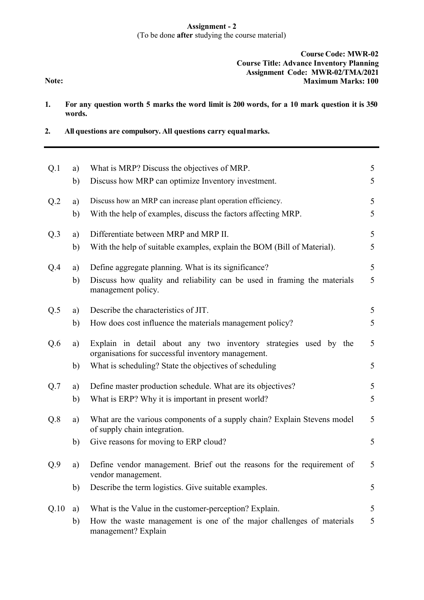# **Assignment - 2** (To be done **after** studying the course material)

# **Course Code: MWR-02 Course Title: Advance Inventory Planning Assignment Code: MWR-02/TMA/2021 Maximum Marks: 100**

**Note:**

- 1. For any question worth 5 marks the word limit is 200 words, for a 10 mark question it is 350 **words.**
- **2. All questions are compulsory. All questions carry equalmarks.**

| Q.1             | a) | What is MRP? Discuss the objectives of MRP.                                                                            | 5 |
|-----------------|----|------------------------------------------------------------------------------------------------------------------------|---|
|                 | b) | Discuss how MRP can optimize Inventory investment.                                                                     | 5 |
| Q <sub>.2</sub> | a) | Discuss how an MRP can increase plant operation efficiency.                                                            | 5 |
|                 | b) | With the help of examples, discuss the factors affecting MRP.                                                          | 5 |
| Q.3             | a) | Differentiate between MRP and MRP II.                                                                                  | 5 |
|                 | b) | With the help of suitable examples, explain the BOM (Bill of Material).                                                | 5 |
| Q.4             | a) | Define aggregate planning. What is its significance?                                                                   | 5 |
|                 | b) | Discuss how quality and reliability can be used in framing the materials<br>management policy.                         | 5 |
| Q.5             | a) | Describe the characteristics of JIT.                                                                                   | 5 |
|                 | b) | How does cost influence the materials management policy?                                                               | 5 |
| Q.6             | a) | Explain in detail about any two inventory strategies used by the<br>organisations for successful inventory management. | 5 |
|                 | b) | What is scheduling? State the objectives of scheduling                                                                 | 5 |
| Q.7             | a) | Define master production schedule. What are its objectives?                                                            | 5 |
|                 | b) | What is ERP? Why it is important in present world?                                                                     | 5 |
| Q.8             | a) | What are the various components of a supply chain? Explain Stevens model<br>of supply chain integration.               | 5 |
|                 | b) | Give reasons for moving to ERP cloud?                                                                                  | 5 |
| Q.9             | a) | Define vendor management. Brief out the reasons for the requirement of<br>vendor management.                           | 5 |
|                 | b) | Describe the term logistics. Give suitable examples.                                                                   | 5 |
| Q.10            | a) | What is the Value in the customer-perception? Explain.                                                                 | 5 |
|                 | b) | How the waste management is one of the major challenges of materials<br>management? Explain                            | 5 |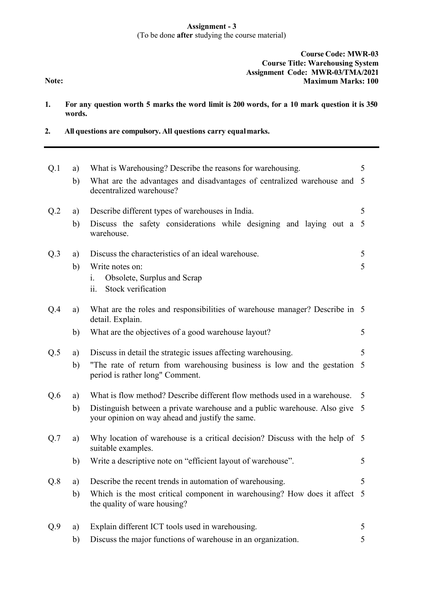# **Assignment - 3** (To be done **after** studying the course material)

# **Course Code: MWR-03 Course Title: Warehousing System Assignment Code: MWR-03/TMA/2021 Maximum Marks: 100**

**Note:**

- 1. For any question worth 5 marks the word limit is 200 words, for a 10 mark question it is 350 **words.**
- **2. All questions are compulsory. All questions carry equalmarks.**

| Q.1 | a) | What is Warehousing? Describe the reasons for warehousing.                                                                     | 5 |
|-----|----|--------------------------------------------------------------------------------------------------------------------------------|---|
|     | b) | What are the advantages and disadvantages of centralized warehouse and 5<br>decentralized warehouse?                           |   |
| Q.2 | a) | Describe different types of warehouses in India.                                                                               | 5 |
|     | b) | Discuss the safety considerations while designing and laying out a 5<br>warehouse.                                             |   |
| Q.3 | a) | Discuss the characteristics of an ideal warehouse.                                                                             | 5 |
|     | b) | Write notes on:<br>Obsolete, Surplus and Scrap<br>1.<br>Stock verification<br>11.                                              | 5 |
| Q.4 | a) | What are the roles and responsibilities of warehouse manager? Describe in 5<br>detail. Explain.                                |   |
|     | b) | What are the objectives of a good warehouse layout?                                                                            | 5 |
| Q.5 | a) | Discuss in detail the strategic issues affecting warehousing.                                                                  | 5 |
|     | b) | "The rate of return from warehousing business is low and the gestation 5<br>period is rather long" Comment.                    |   |
| Q.6 | a) | What is flow method? Describe different flow methods used in a warehouse.                                                      | 5 |
|     | b) | Distinguish between a private warehouse and a public warehouse. Also give 5<br>your opinion on way ahead and justify the same. |   |
| Q.7 | a) | Why location of warehouse is a critical decision? Discuss with the help of 5<br>suitable examples.                             |   |
|     | b) | Write a descriptive note on "efficient layout of warehouse".                                                                   | 5 |
|     |    | Q.8 a) Describe the recent trends in automation of warehousing.                                                                |   |
|     | b) | Which is the most critical component in warehousing? How does it affect 5<br>the quality of ware housing?                      |   |
| Q.9 | a) | Explain different ICT tools used in warehousing.                                                                               | 5 |
|     | b) | Discuss the major functions of warehouse in an organization.                                                                   | 5 |